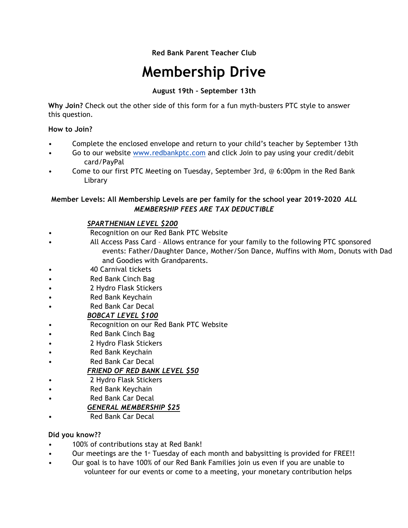# **Red Bank Parent Teacher Club**

# **Membership Drive**

## **August 19th – September 13th**

**Why Join?** Check out the other side of this form for a fun myth-busters PTC style to answer this question.

### **How to Join?**

- Complete the enclosed envelope and return to your child's teacher by September 13th
- Go to our website www.redbankptc.com and click Join to pay using your credit/debit card/PayPal
- Come to our first PTC Meeting on Tuesday, September 3rd, @ 6:00pm in the Red Bank Library

## **Member Levels: All Membership Levels are per family for the school year 2019-2020** *ALL MEMBERSHIP FEES ARE TAX DEDUCTIBLE*

## *SPARTHENIAN LEVEL \$200*

- Recognition on our Red Bank PTC Website
- All Access Pass Card Allows entrance for your family to the following PTC sponsored events: Father/Daughter Dance, Mother/Son Dance, Muffins with Mom, Donuts with Dad and Goodies with Grandparents.
- 40 Carnival tickets
- **Red Bank Cinch Bag**
- 2 Hydro Flask Stickers
- Red Bank Keychain
- Red Bank Car Decal

## *BOBCAT LEVEL \$100*

- Recognition on our Red Bank PTC Website
- Red Bank Cinch Bag
- 2 Hydro Flask Stickers
- Red Bank Keychain
- Red Bank Car Decal

## *FRIEND OF RED BANK LEVEL \$50*

- 2 Hydro Flask Stickers
- Red Bank Keychain
- Red Bank Car Decal

## *GENERAL MEMBERSHIP \$25*

• Red Bank Car Decal

### **Did you know??**

- 100% of contributions stay at Red Bank!
- Our meetings are the 1<sup> $st$ </sup> Tuesday of each month and babysitting is provided for FREE!!
- Our goal is to have 100% of our Red Bank Families join us even if you are unable to volunteer for our events or come to a meeting, your monetary contribution helps